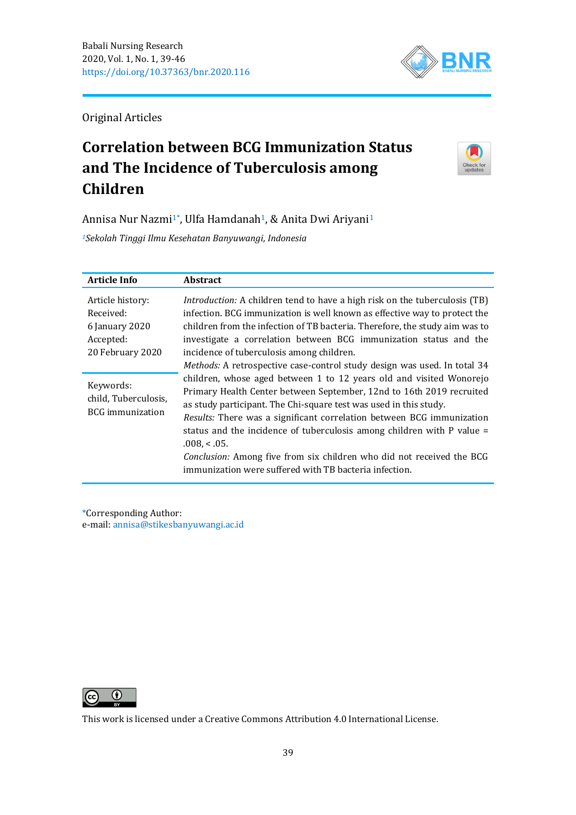

Original Articles

# **Correlation between BCG Immunization Status and The Incidence of Tuberculosis among Children**



Annisa Nur Nazmi<sup>1\*</sup>, Ulfa Hamdanah<sup>1</sup>, & Anita Dwi Ariyani<sup>1</sup>

*<sup>1</sup>Sekolah Tinggi Ilmu Kesehatan Banyuwangi, Indonesia*

| <b>Article Info</b>                                                              | <b>Abstract</b>                                                                                                                                                                                                                                                                                                                                                                                                                                                                                                                                                                                      |
|----------------------------------------------------------------------------------|------------------------------------------------------------------------------------------------------------------------------------------------------------------------------------------------------------------------------------------------------------------------------------------------------------------------------------------------------------------------------------------------------------------------------------------------------------------------------------------------------------------------------------------------------------------------------------------------------|
| Article history:<br>Received:<br>6 January 2020<br>Accepted:<br>20 February 2020 | Introduction: A children tend to have a high risk on the tuberculosis (TB)<br>infection. BCG immunization is well known as effective way to protect the<br>children from the infection of TB bacteria. Therefore, the study aim was to<br>investigate a correlation between BCG immunization status and the<br>incidence of tuberculosis among children.                                                                                                                                                                                                                                             |
| Keywords:<br>child, Tuberculosis,<br><b>BCG</b> immunization                     | Methods: A retrospective case-control study design was used. In total 34<br>children, whose aged between 1 to 12 years old and visited Wonorejo<br>Primary Health Center between September, 12nd to 16th 2019 recruited<br>as study participant. The Chi-square test was used in this study.<br>Results: There was a significant correlation between BCG immunization<br>status and the incidence of tuberculosis among children with P value =<br>$.008 < .05$ .<br>Conclusion: Among five from six children who did not received the BCG<br>immunization were suffered with TB bacteria infection. |

\*Corresponding Author: e-mail: [annisa@stikesbanyuwangi.ac.id](mailto:annisa@stikesbanyuwangi.ac.id)



This work is licensed under a [Creative Commons Attribution 4.0 International License.](https://creativecommons.org/licenses/by/4.0/)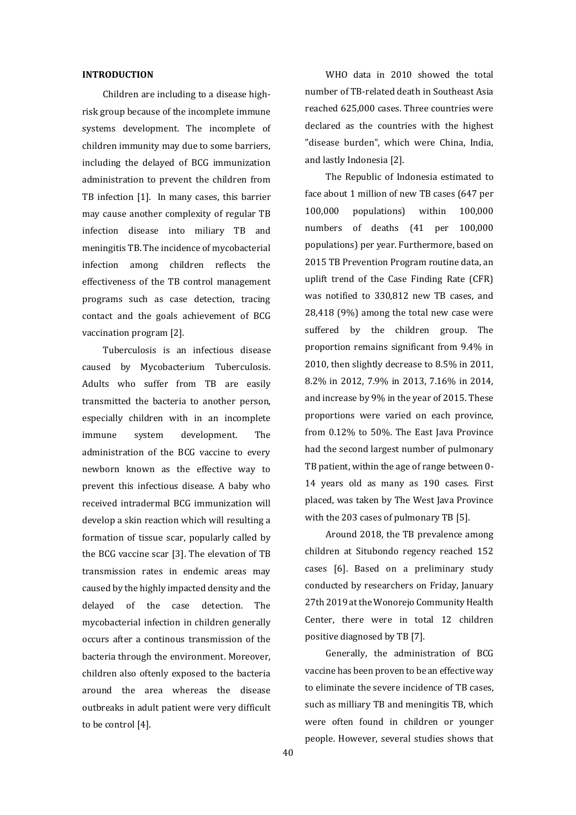#### **INTRODUCTION**

Children are including to a disease highrisk group because of the incomplete immune systems development. The incomplete of children immunity may due to some barriers, including the delayed of BCG immunization administration to prevent the children from TB infection [1]. In many cases, this barrier may cause another complexity of regular TB infection disease into miliary TB and meningitis TB. The incidence of mycobacterial infection among children reflects the effectiveness of the TB control management programs such as case detection, tracing contact and the goals achievement of BCG vaccination program [2].

Tuberculosis is an infectious disease caused by Mycobacterium Tuberculosis. Adults who suffer from TB are easily transmitted the bacteria to another person, especially children with in an incomplete immune system development. The administration of the BCG vaccine to every newborn known as the effective way to prevent this infectious disease. A baby who received intradermal BCG immunization will develop a skin reaction which will resulting a formation of tissue scar, popularly called by the BCG vaccine scar [3]. The elevation of TB transmission rates in endemic areas may caused by the highly impacted density and the delayed of the case detection. The mycobacterial infection in children generally occurs after a continous transmission of the bacteria through the environment. Moreover, children also oftenly exposed to the bacteria around the area whereas the disease outbreaks in adult patient were very difficult to be control [4].

WHO data in 2010 showed the total number of TB-related death in Southeast Asia reached 625,000 cases. Three countries were declared as the countries with the highest "disease burden", which were China, India, and lastly Indonesia [2].

The Republic of Indonesia estimated to face about 1 million of new TB cases (647 per 100,000 populations) within 100,000 numbers of deaths (41 per 100,000 populations) per year. Furthermore, based on 2015 TB Prevention Program routine data, an uplift trend of the Case Finding Rate (CFR) was notified to 330,812 new TB cases, and 28,418 (9%) among the total new case were suffered by the children group. The proportion remains significant from 9.4% in 2010, then slightly decrease to 8.5% in 2011, 8.2% in 2012, 7.9% in 2013, 7.16% in 2014, and increase by 9% in the year of 2015. These proportions were varied on each province, from 0.12% to 50%. The East Java Province had the second largest number of pulmonary TB patient, within the age of range between 0- 14 years old as many as 190 cases. First placed, was taken by The West Java Province with the 203 cases of pulmonary TB [5].

Around 2018, the TB prevalence among children at Situbondo regency reached 152 cases [6]. Based on a preliminary study conducted by researchers on Friday, January 27th 2019 at the Wonorejo Community Health Center, there were in total 12 children positive diagnosed by TB [7].

Generally, the administration of BCG vaccine has been proven to be an effective way to eliminate the severe incidence of TB cases, such as milliary TB and meningitis TB, which were often found in children or younger people. However, several studies shows that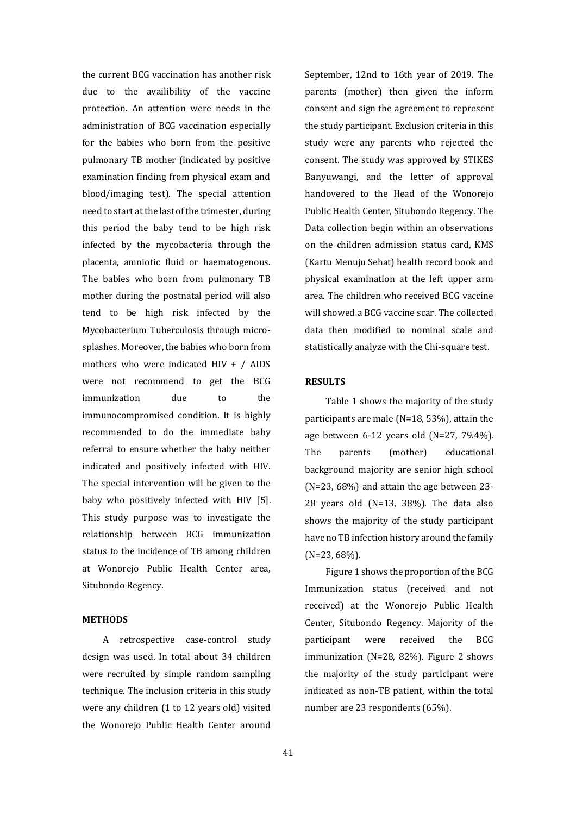the current BCG vaccination has another risk due to the availibility of the vaccine protection. An attention were needs in the administration of BCG vaccination especially for the babies who born from the positive pulmonary TB mother (indicated by positive examination finding from physical exam and blood/imaging test). The special attention need to start at the last of the trimester, during this period the baby tend to be high risk infected by the mycobacteria through the placenta, amniotic fluid or haematogenous. The babies who born from pulmonary TB mother during the postnatal period will also tend to be high risk infected by the Mycobacterium Tuberculosis through microsplashes. Moreover, the babies who born from mothers who were indicated HIV + / AIDS were not recommend to get the BCG immunization due to the immunocompromised condition. It is highly recommended to do the immediate baby referral to ensure whether the baby neither indicated and positively infected with HIV. The special intervention will be given to the baby who positively infected with HIV [5]. This study purpose was to investigate the relationship between BCG immunization status to the incidence of TB among children at Wonorejo Public Health Center area, Situbondo Regency.

# **METHODS**

A retrospective case-control study design was used. In total about 34 children were recruited by simple random sampling technique. The inclusion criteria in this study were any children (1 to 12 years old) visited the Wonorejo Public Health Center around September, 12nd to 16th year of 2019. The parents (mother) then given the inform consent and sign the agreement to represent the study participant. Exclusion criteria in this study were any parents who rejected the consent. The study was approved by STIKES Banyuwangi, and the letter of approval handovered to the Head of the Wonorejo Public Health Center, Situbondo Regency. The Data collection begin within an observations on the children admission status card, KMS (Kartu Menuju Sehat) health record book and physical examination at the left upper arm area. The children who received BCG vaccine will showed a BCG vaccine scar. The collected data then modified to nominal scale and statistically analyze with the Chi-square test.

#### **RESULTS**

Table 1 shows the majority of the study participants are male (N=18, 53%), attain the age between 6-12 years old (N=27, 79.4%). The parents (mother) educational background majority are senior high school (N=23, 68%) and attain the age between 23- 28 years old (N=13, 38%). The data also shows the majority of the study participant have no TB infection history around the family (N=23, 68%).

Figure 1 shows the proportion of the BCG Immunization status (received and not received) at the Wonorejo Public Health Center, Situbondo Regency. Majority of the participant were received the BCG immunization (N=28, 82%). Figure 2 shows the majority of the study participant were indicated as non-TB patient, within the total number are 23 respondents (65%).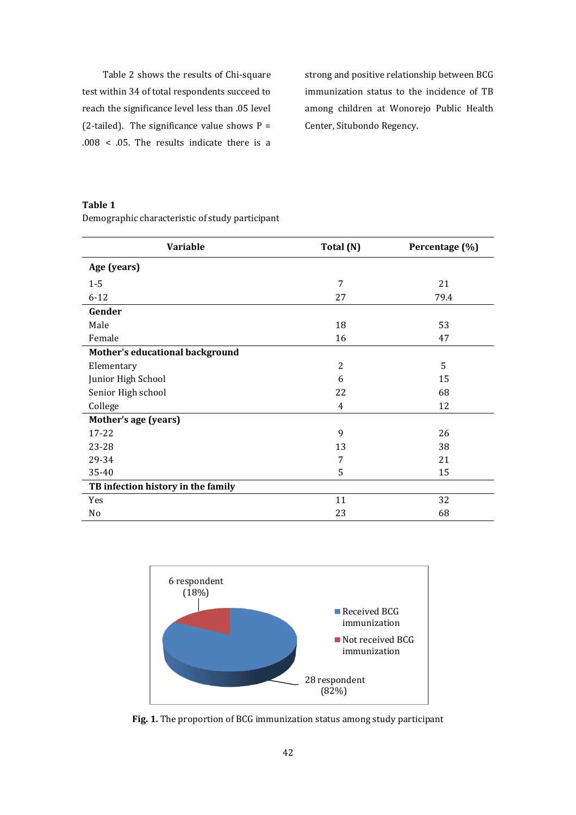Table 2 shows the results of Chi-square test within 34 of total respondents succeed to reach the significance level less than .05 level (2-tailed). The significance value shows  $P =$ .008 < .05. The results indicate there is a

strong and positive relationship between BCG immunization status to the incidence of TB among children at Wonorejo Public Health Center, Situbondo Regency.

# **Table 1**

Demographic characteristic of study participant

| Variable                           | Total (N)      | Percentage (%) |  |  |  |
|------------------------------------|----------------|----------------|--|--|--|
| Age (years)                        |                |                |  |  |  |
| $1-5$                              | 7              | 21             |  |  |  |
| $6 - 12$                           | 27             | 79.4           |  |  |  |
| Gender                             |                |                |  |  |  |
| Male                               | 18             | 53             |  |  |  |
| Female                             | 16             | 47             |  |  |  |
| Mother's educational background    |                |                |  |  |  |
| Elementary                         | $\overline{c}$ | 5              |  |  |  |
| Junior High School                 | 6              | 15             |  |  |  |
| Senior High school                 | 22             | 68             |  |  |  |
| College                            | $\overline{4}$ | 12             |  |  |  |
| Mother's age (years)               |                |                |  |  |  |
| 17-22                              | 9              | 26             |  |  |  |
| 23-28                              | 13             | 38             |  |  |  |
| 29-34                              | 7              | 21             |  |  |  |
| 35-40                              | 5              | 15             |  |  |  |
| TB infection history in the family |                |                |  |  |  |
| Yes                                | 11             | 32             |  |  |  |
| No                                 | 23             | 68             |  |  |  |



**Fig. 1.** The proportion of BCG immunization status among study participant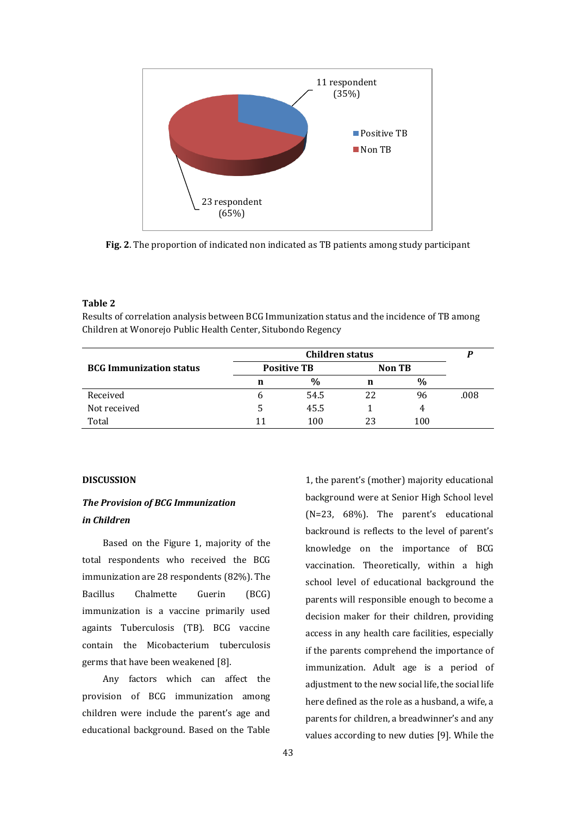

**Fig. 2**. The proportion of indicated non indicated as TB patients among study participant

# **Table 2**

Results of correlation analysis between BCG Immunization status and the incidence of TB among Children at Wonorejo Public Health Center, Situbondo Regency

|                                | Children status    |               |        |               |      |
|--------------------------------|--------------------|---------------|--------|---------------|------|
| <b>BCG Immunization status</b> | <b>Positive TB</b> |               | Non TB |               |      |
|                                | n                  | $\frac{0}{0}$ | n      | $\frac{0}{0}$ |      |
| Received                       | n                  | 54.5          | 22     | 96            | .008 |
| Not received                   |                    | 45.5          |        | 4             |      |
| Total                          | 11                 | 100           | 23     | 100           |      |

#### **DISCUSSION**

# *The Provision of BCG Immunization in Children*

Based on the Figure 1, majority of the total respondents who received the BCG immunization are 28 respondents (82%). The Bacillus Chalmette Guerin (BCG) immunization is a vaccine primarily used againts Tuberculosis (TB). BCG vaccine contain the Micobacterium tuberculosis germs that have been weakened [8].

Any factors which can affect the provision of BCG immunization among children were include the parent's age and educational background. Based on the Table

1, the parent's (mother) majority educational background were at Senior High School level (N=23, 68%). The parent's educational backround is reflects to the level of parent's knowledge on the importance of BCG vaccination. Theoretically, within a high school level of educational background the parents will responsible enough to become a decision maker for their children, providing access in any health care facilities, especially if the parents comprehend the importance of immunization. Adult age is a period of adjustment to the new social life, the social life here defined as the role as a husband, a wife, a parents for children, a breadwinner's and any values according to new duties [9]. While the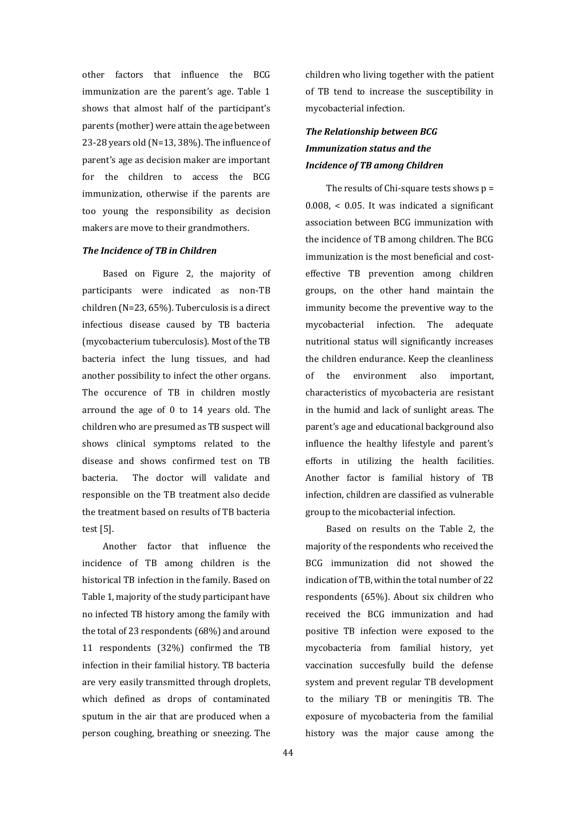other factors that influence the BCG immunization are the parent's age. Table 1 shows that almost half of the participant's parents (mother) were attain the age between 23-28 years old (N=13, 38%). The influence of parent's age as decision maker are important for the children to access the BCG immunization, otherwise if the parents are too young the responsibility as decision makers are move to their grandmothers.

## *The Incidence of TB in Children*

Based on Figure 2, the majority of participants were indicated as non-TB children (N=23, 65%). Tuberculosis is a direct infectious disease caused by TB bacteria (mycobacterium tuberculosis). Most of the TB bacteria infect the lung tissues, and had another possibility to infect the other organs. The occurence of TB in children mostly arround the age of 0 to 14 years old. The children who are presumed as TB suspect will shows clinical symptoms related to the disease and shows confirmed test on TB bacteria. The doctor will validate and responsible on the TB treatment also decide the treatment based on results of TB bacteria test [5].

Another factor that influence the incidence of TB among children is the historical TB infection in the family. Based on Table 1, majority of the study participant have no infected TB history among the family with the total of 23 respondents (68%) and around 11 respondents (32%) confirmed the TB infection in their familial history. TB bacteria are very easily transmitted through droplets, which defined as drops of contaminated sputum in the air that are produced when a person coughing, breathing or sneezing. The

children who living together with the patient of TB tend to increase the susceptibility in mycobacterial infection.

# *The Relationship between BCG Immunization status and the Incidence of TB among Children*

The results of Chi-square tests shows  $p =$ 0.008, < 0.05. It was indicated a significant association between BCG immunization with the incidence of TB among children. The BCG immunization is the most beneficial and costeffective TB prevention among children groups, on the other hand maintain the immunity become the preventive way to the mycobacterial infection. The adequate nutritional status will significantly increases the children endurance. Keep the cleanliness of the environment also important, characteristics of mycobacteria are resistant in the humid and lack of sunlight areas. The parent's age and educational background also influence the healthy lifestyle and parent's efforts in utilizing the health facilities. Another factor is familial history of TB infection, children are classified as vulnerable group to the micobacterial infection.

Based on results on the Table 2, the majority of the respondents who received the BCG immunization did not showed the indication of TB, within the total number of 22 respondents (65%). About six children who received the BCG immunization and had positive TB infection were exposed to the mycobacteria from familial history, yet vaccination succesfully build the defense system and prevent regular TB development to the miliary TB or meningitis TB. The exposure of mycobacteria from the familial history was the major cause among the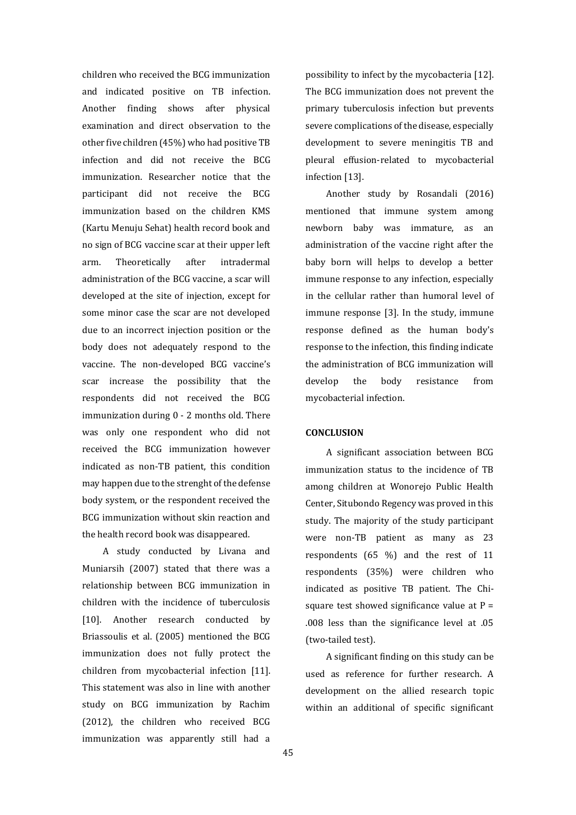children who received the BCG immunization and indicated positive on TB infection. Another finding shows after physical examination and direct observation to the other five children (45%) who had positive TB infection and did not receive the BCG immunization. Researcher notice that the participant did not receive the BCG immunization based on the children KMS (Kartu Menuju Sehat) health record book and no sign of BCG vaccine scar at their upper left arm. Theoretically after intradermal administration of the BCG vaccine, a scar will developed at the site of injection, except for some minor case the scar are not developed due to an incorrect injection position or the body does not adequately respond to the vaccine. The non-developed BCG vaccine's scar increase the possibility that the respondents did not received the BCG immunization during 0 - 2 months old. There was only one respondent who did not received the BCG immunization however indicated as non-TB patient, this condition may happen due to the strenght of the defense body system, or the respondent received the BCG immunization without skin reaction and the health record book was disappeared.

A study conducted by Livana and Muniarsih (2007) stated that there was a relationship between BCG immunization in children with the incidence of tuberculosis [10]. Another research conducted by Briassoulis et al. (2005) mentioned the BCG immunization does not fully protect the children from mycobacterial infection [11]. This statement was also in line with another study on BCG immunization by Rachim (2012), the children who received BCG immunization was apparently still had a

possibility to infect by the mycobacteria [12]. The BCG immunization does not prevent the primary tuberculosis infection but prevents severe complications of the disease, especially development to severe meningitis TB and pleural effusion-related to mycobacterial infection [13].

Another study by Rosandali (2016) mentioned that immune system among newborn baby was immature, as an administration of the vaccine right after the baby born will helps to develop a better immune response to any infection, especially in the cellular rather than humoral level of immune response [3]. In the study, immune response defined as the human body's response to the infection, this finding indicate the administration of BCG immunization will develop the body resistance from mycobacterial infection.

## **CONCLUSION**

A significant association between BCG immunization status to the incidence of TB among children at Wonorejo Public Health Center, Situbondo Regency was proved in this study. The majority of the study participant were non-TB patient as many as 23 respondents (65 %) and the rest of 11 respondents (35%) were children who indicated as positive TB patient. The Chisquare test showed significance value at  $P =$ .008 less than the significance level at .05 (two-tailed test).

A significant finding on this study can be used as reference for further research. A development on the allied research topic within an additional of specific significant